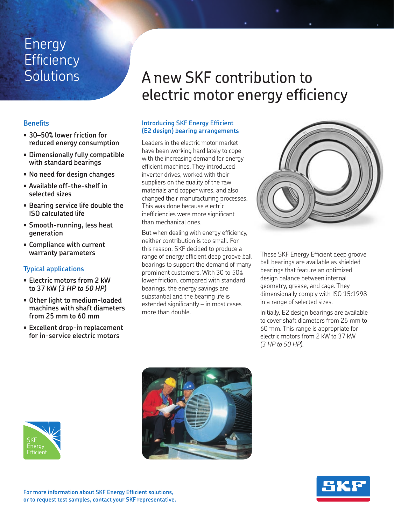## Energy **Efficiency Solutions**

### **Benefits**

- **• 30–50% lower friction for reduced energy consumption**
- **• Dimensionally fully compatible with standard bearings**
- **• No need for design changes**
- **• Available off-the-shelf in selected sizes**
- **• Bearing service life double the ISO calculated life**
- **• Smooth-running, less heat generation**
- **• Compliance with current warranty parameters**

### **Typical applications**

- **• Electric motors from 2 kW to 37 kW** *(3 HP to 50 HP)*
- **• Other light to medium-loaded machines with shaft diameters from 25 mm to 60 mm**
- **• Excellent drop-in replacement for in-service electric motors**

# A new SKF contribution to electric motor energy efficiency

### **Introducing SKF Energy Efficient (E2 design) bearing arrangements**

Leaders in the electric motor market have been working hard lately to cope with the increasing demand for energy efficient machines. They introduced inverter drives, worked with their suppliers on the quality of the raw materials and copper wires, and also changed their manufacturing processes. This was done because electric inefficiencies were more significant than mechanical ones.

But when dealing with energy efficiency, neither contribution is too small. For this reason, SKF decided to produce a range of energy efficient deep groove ball bearings to support the demand of many prominent customers. With 30 to 50% lower friction, compared with standard bearings, the energy savings are substantial and the bearing life is extended significantly – in most cases more than double.



These SKF Energy Efficient deep groove ball bearings are available as shielded bearings that feature an optimized design balance between internal geometry, grease, and cage. They dimensionally comply with ISO 15:1998 in a range of selected sizes.

Initially, E2 design bearings are available to cover shaft diameters from 25 mm to 60 mm. This range is appropriate for electric motors from 2 kW to 37 kW *(3 HP to 50 HP)*.